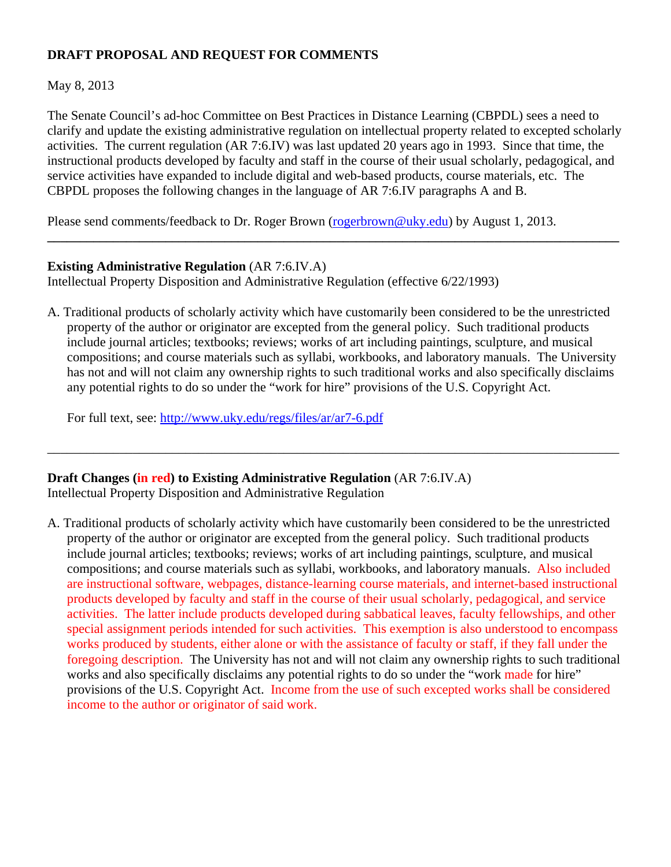## **DRAFT PROPOSAL AND REQUEST FOR COMMENTS**

## May 8, 2013

The Senate Council's ad-hoc Committee on Best Practices in Distance Learning (CBPDL) sees a need to clarify and update the existing administrative regulation on intellectual property related to excepted scholarly activities. The current regulation (AR 7:6.IV) was last updated 20 years ago in 1993. Since that time, the instructional products developed by faculty and staff in the course of their usual scholarly, pedagogical, and service activities have expanded to include digital and web-based products, course materials, etc. The CBPDL proposes the following changes in the language of AR 7:6.IV paragraphs A and B.

**\_\_\_\_\_\_\_\_\_\_\_\_\_\_\_\_\_\_\_\_\_\_\_\_\_\_\_\_\_\_\_\_\_\_\_\_\_\_\_\_\_\_\_\_\_\_\_\_\_\_\_\_\_\_\_\_\_\_\_\_\_\_\_\_\_\_\_\_\_\_\_\_\_\_\_\_\_\_\_\_\_\_\_\_\_\_\_** 

Please send comments/feedback to Dr. Roger Brown (rogerbrown@uky.edu) by August 1, 2013.

## **Existing Administrative Regulation** (AR 7:6.IV.A)

Intellectual Property Disposition and Administrative Regulation (effective 6/22/1993)

A. Traditional products of scholarly activity which have customarily been considered to be the unrestricted property of the author or originator are excepted from the general policy. Such traditional products include journal articles; textbooks; reviews; works of art including paintings, sculpture, and musical compositions; and course materials such as syllabi, workbooks, and laboratory manuals. The University has not and will not claim any ownership rights to such traditional works and also specifically disclaims any potential rights to do so under the "work for hire" provisions of the U.S. Copyright Act.

\_\_\_\_\_\_\_\_\_\_\_\_\_\_\_\_\_\_\_\_\_\_\_\_\_\_\_\_\_\_\_\_\_\_\_\_\_\_\_\_\_\_\_\_\_\_\_\_\_\_\_\_\_\_\_\_\_\_\_\_\_\_\_\_\_\_\_\_\_\_\_\_\_\_\_\_\_\_\_\_\_\_\_\_\_\_\_

For full text, see: http://www.uky.edu/regs/files/ar/ar7-6.pdf

# **Draft Changes (in red) to Existing Administrative Regulation** (AR 7:6.IV.A)

Intellectual Property Disposition and Administrative Regulation

A. Traditional products of scholarly activity which have customarily been considered to be the unrestricted property of the author or originator are excepted from the general policy. Such traditional products include journal articles; textbooks; reviews; works of art including paintings, sculpture, and musical compositions; and course materials such as syllabi, workbooks, and laboratory manuals. Also included are instructional software, webpages, distance-learning course materials, and internet-based instructional products developed by faculty and staff in the course of their usual scholarly, pedagogical, and service activities. The latter include products developed during sabbatical leaves, faculty fellowships, and other special assignment periods intended for such activities. This exemption is also understood to encompass works produced by students, either alone or with the assistance of faculty or staff, if they fall under the foregoing description. The University has not and will not claim any ownership rights to such traditional works and also specifically disclaims any potential rights to do so under the "work made for hire" provisions of the U.S. Copyright Act. Income from the use of such excepted works shall be considered income to the author or originator of said work.